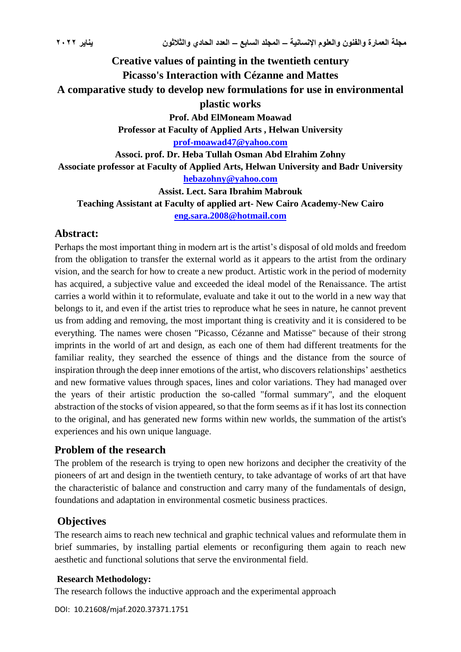# **Creative values of painting in the twentieth century Picasso's Interaction with Cézanne and Mattes A comparative study to develop new formulations for use in environmental plastic works Prof. Abd ElMoneam Moawad Professor at Faculty of Applied Arts , Helwan University [prof-moawad47@yahoo.com](mailto:prof-moawad47@yahoo.com) Associ. prof. Dr. Heba Tullah Osman Abd Elrahim Zohny Associate professor at Faculty of Applied Arts, Helwan University and Badr University [hebazohny@yahoo.com](mailto:hebazohny@yahoo.com) Assist. Lect. Sara Ibrahim Mabrouk Teaching Assistant at Faculty of applied art- New Cairo Academy-New Cairo [eng.sara.2008@hotmail.com](mailto:eng.sara.2008@hotmail.com)**

#### **Abstract:**

Perhaps the most important thing in modern art is the artist's disposal of old molds and freedom from the obligation to transfer the external world as it appears to the artist from the ordinary vision, and the search for how to create a new product. Artistic work in the period of modernity has acquired, a subjective value and exceeded the ideal model of the Renaissance. The artist carries a world within it to reformulate, evaluate and take it out to the world in a new way that belongs to it, and even if the artist tries to reproduce what he sees in nature, he cannot prevent us from adding and removing, the most important thing is creativity and it is considered to be everything. The names were chosen "Picasso, Cézanne and Matisse" because of their strong imprints in the world of art and design, as each one of them had different treatments for the familiar reality, they searched the essence of things and the distance from the source of inspiration through the deep inner emotions of the artist, who discovers relationships' aesthetics and new formative values through spaces, lines and color variations. They had managed over the years of their artistic production the so-called "formal summary", and the eloquent abstraction of the stocks of vision appeared, so that the form seems as if it has lost its connection to the original, and has generated new forms within new worlds, the summation of the artist's experiences and his own unique language.

### **Problem of the research**

The problem of the research is trying to open new horizons and decipher the creativity of the pioneers of art and design in the twentieth century, to take advantage of works of art that have the characteristic of balance and construction and carry many of the fundamentals of design, foundations and adaptation in environmental cosmetic business practices.

### **Objectives**

The research aims to reach new technical and graphic technical values and reformulate them in brief summaries, by installing partial elements or reconfiguring them again to reach new aesthetic and functional solutions that serve the environmental field.

#### **Research Methodology:**

The research follows the inductive approach and the experimental approach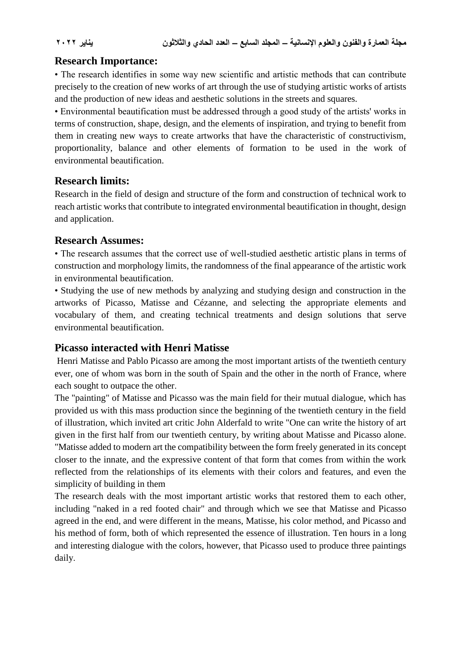## **Research Importance:**

• The research identifies in some way new scientific and artistic methods that can contribute precisely to the creation of new works of art through the use of studying artistic works of artists and the production of new ideas and aesthetic solutions in the streets and squares.

• Environmental beautification must be addressed through a good study of the artists' works in terms of construction, shape, design, and the elements of inspiration, and trying to benefit from them in creating new ways to create artworks that have the characteristic of constructivism, proportionality, balance and other elements of formation to be used in the work of environmental beautification.

### **Research limits:**

Research in the field of design and structure of the form and construction of technical work to reach artistic works that contribute to integrated environmental beautification in thought, design and application.

## **Research Assumes:**

• The research assumes that the correct use of well-studied aesthetic artistic plans in terms of construction and morphology limits, the randomness of the final appearance of the artistic work in environmental beautification.

• Studying the use of new methods by analyzing and studying design and construction in the artworks of Picasso, Matisse and Cézanne, and selecting the appropriate elements and vocabulary of them, and creating technical treatments and design solutions that serve environmental beautification.

# **Picasso interacted with Henri Matisse**

Henri Matisse and Pablo Picasso are among the most important artists of the twentieth century ever, one of whom was born in the south of Spain and the other in the north of France, where each sought to outpace the other.

The "painting" of Matisse and Picasso was the main field for their mutual dialogue, which has provided us with this mass production since the beginning of the twentieth century in the field of illustration, which invited art critic John Alderfald to write "One can write the history of art given in the first half from our twentieth century, by writing about Matisse and Picasso alone. "Matisse added to modern art the compatibility between the form freely generated in its concept closer to the innate, and the expressive content of that form that comes from within the work reflected from the relationships of its elements with their colors and features, and even the simplicity of building in them

The research deals with the most important artistic works that restored them to each other, including "naked in a red footed chair" and through which we see that Matisse and Picasso agreed in the end, and were different in the means, Matisse, his color method, and Picasso and his method of form, both of which represented the essence of illustration. Ten hours in a long and interesting dialogue with the colors, however, that Picasso used to produce three paintings daily.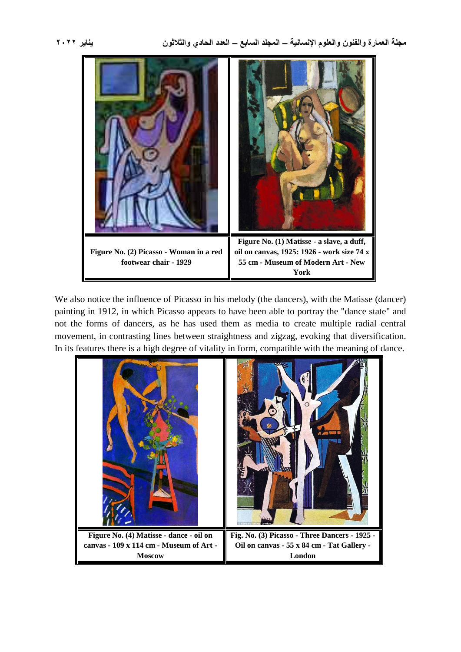

We also notice the influence of Picasso in his melody (the dancers), with the Matisse (dancer) painting in 1912, in which Picasso appears to have been able to portray the "dance state" and not the forms of dancers, as he has used them as media to create multiple radial central movement, in contrasting lines between straightness and zigzag, evoking that diversification. In its features there is a high degree of vitality in form, compatible with the meaning of dance.

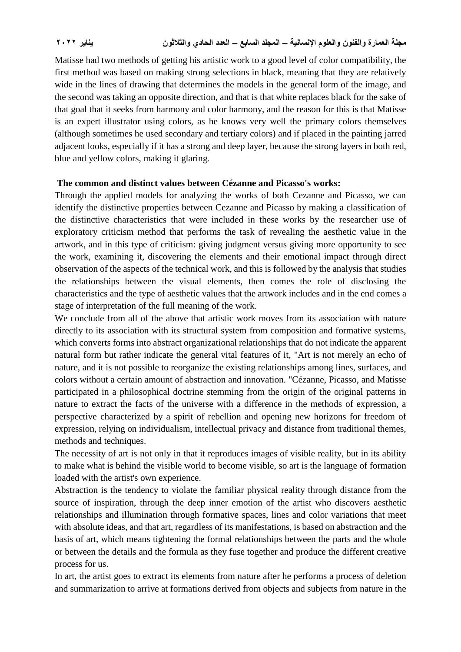Matisse had two methods of getting his artistic work to a good level of color compatibility, the first method was based on making strong selections in black, meaning that they are relatively wide in the lines of drawing that determines the models in the general form of the image, and the second was taking an opposite direction, and that is that white replaces black for the sake of that goal that it seeks from harmony and color harmony, and the reason for this is that Matisse is an expert illustrator using colors, as he knows very well the primary colors themselves (although sometimes he used secondary and tertiary colors) and if placed in the painting jarred adjacent looks, especially if it has a strong and deep layer, because the strong layers in both red, blue and yellow colors, making it glaring.

#### **The common and distinct values between Cézanne and Picasso's works:**

Through the applied models for analyzing the works of both Cezanne and Picasso, we can identify the distinctive properties between Cezanne and Picasso by making a classification of the distinctive characteristics that were included in these works by the researcher use of exploratory criticism method that performs the task of revealing the aesthetic value in the artwork, and in this type of criticism: giving judgment versus giving more opportunity to see the work, examining it, discovering the elements and their emotional impact through direct observation of the aspects of the technical work, and this is followed by the analysis that studies the relationships between the visual elements, then comes the role of disclosing the characteristics and the type of aesthetic values that the artwork includes and in the end comes a stage of interpretation of the full meaning of the work.

We conclude from all of the above that artistic work moves from its association with nature directly to its association with its structural system from composition and formative systems, which converts forms into abstract organizational relationships that do not indicate the apparent natural form but rather indicate the general vital features of it, "Art is not merely an echo of nature, and it is not possible to reorganize the existing relationships among lines, surfaces, and colors without a certain amount of abstraction and innovation. "Cézanne, Picasso, and Matisse participated in a philosophical doctrine stemming from the origin of the original patterns in nature to extract the facts of the universe with a difference in the methods of expression, a perspective characterized by a spirit of rebellion and opening new horizons for freedom of expression, relying on individualism, intellectual privacy and distance from traditional themes, methods and techniques.

The necessity of art is not only in that it reproduces images of visible reality, but in its ability to make what is behind the visible world to become visible, so art is the language of formation loaded with the artist's own experience.

Abstraction is the tendency to violate the familiar physical reality through distance from the source of inspiration, through the deep inner emotion of the artist who discovers aesthetic relationships and illumination through formative spaces, lines and color variations that meet with absolute ideas, and that art, regardless of its manifestations, is based on abstraction and the basis of art, which means tightening the formal relationships between the parts and the whole or between the details and the formula as they fuse together and produce the different creative process for us.

In art, the artist goes to extract its elements from nature after he performs a process of deletion and summarization to arrive at formations derived from objects and subjects from nature in the